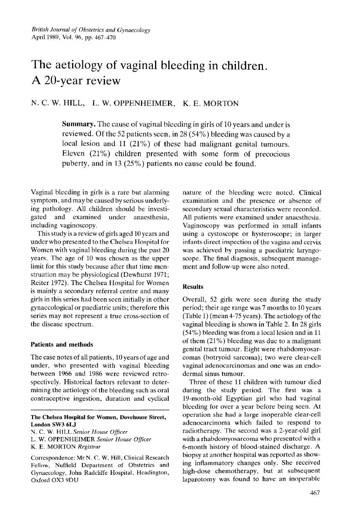# The aetiology of vaginal bleeding in children. **A** 20-year review

N. C. **W.** HILL, **L.** W. OPPENHEIMER, K. E. MORTON

**Summary.** The cause of vaginal bleeding in girls of 10 years and undcr is reviewed. Of the 52 patients seen, in 28 (54%) bleeding was caused by a local lesion and 11 (21%) of these had malignant genital turnours. Eleven (21%) children presented with some form of precocious puberty, and in 13 ( $25\%$ ) patients no cause could be found.

Vaginal blecding in girls is a rare but alarming symptom, and may be caused by serious underlying pathology. All children should be investigated and examined under anaesthesia, including vaginoscopy

This study is a review of girls aged 10 years and undcr who presented to the Chelsea Hospital for Women with vaginal bleeding during the past 20 years. The age of 10 was chosen as the upper limit for this study because after that time mcnstruation may be physiological (Dewhurst 1971; Reiter 1972). The Chelsea Hospital for Women is mainly a secondary referral centre and many girls in this series had been seen initially in other gynaccological or paediatric units; therefore this series may not represent a true cross-section of the disease spectrum.

# **Patients and methods**

The case notes of all patients, 10 years of age and under, who presented with vaginal bleeding between 1066 and 1986 wcre revicwcd rctrospectivcly. Historical factors relevant to determining the aetiology of the bleeding such as oral contraceptive ingestion. duration and cyclical

## **The Chelsea Hospital for Women, Duvehouse Street, London SW3 6LJ**

nature of the bleeding wcrc notcd. Clinical examination and the presence or absence of secondary sexual characteristics were recorded. **All** patients were examined under anaesthesia. Vaginoscopy was performed in small infants using a cystoscope or hysteroscope; in larger infants direct inspection of the vagina and cervix was achieved by passing a paediatric laryngoscope. The final diagnosis, subsequent management and follow-up were also noted.

# **Results**

Ovcrall, 52 girls were seen during the study period; their age range was **7** months to 10 years (Table 1) (mean 4.75 years). The aetiology of thc vaginal bleeding is shown in Table 2. In 28 girls (54%) bleeding was from a local lesion and in 11 of them (21%) bleeding was duc to a malignant genital tract tumour. Eight were rhabdomyosarcomas (botryoid sarcoma); two were clear-cell vaginal adenocarcinomas and one was an endodermal sinus tumour.

Three of these 11 children with tumour died during the study period. The first was a 19-month-old Egyptian girl who had vaginal blecding for over a year before being seen. At operation she had a large inoperable clear-cell adenocarcinoma which failed to respond to radiotherapy. The second was a 2-year-old girl with a rhabdomyosarcoma who presented with a 6-month history of blood-stained discharge. A biopsy at another hospital was reported as showing inflammatory changes only. She received high-dose chemotherapy, but at subsequent laparotomy was found to have an inoperable

**U.** C. **W.** HILL *Senior House Officer* 

L. W. OPPENHEIMER *Senior House Officer* 

K. **E.** MORTON *Registrar* 

Corrcspondence: Mr N. C. W. **Hill,** Clinical Research Fellow, Nuffield Department of Obstetrics and Gynaecology, John Radcliffe Hospital. Hcadington, **Oxford OX3** 9DU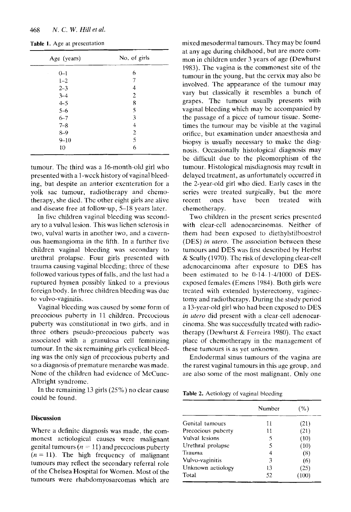| Age (years) | No. of girls |  |
|-------------|--------------|--|
| $0 - 1$     | 6            |  |
| $1 - 2$     | 7            |  |
| $2 - 3$     | 4            |  |
| $3 - 4$     | 2            |  |
| $4 - 5$     | 8            |  |
| $5 - 6$     | 5            |  |
| $6 - 7$     | 3            |  |
| $7 - 8$     | 4            |  |
| $8 - 9$     | 2            |  |
| $9 - 10$    | 5            |  |
| 10          | 6            |  |

Table 1. Age at presentation

tumour. The third was a 16-month-old girl who presented with a 1 -wcck history of vaginal bleeding, but despite an anterior excnteration for a yolk sac tumour, radiotherapy and chemotherapy, she died. Thc other eight girls are alive and disease free at follow-up. 5-18 years later.

In five children vaginal bleeding was secondary to a vulval lesion. This was lichen sclerosis in two, vulval warts in another *two,* and a cavernous haemangioma in the fifth. In a further fivc children vaginal bleeding **was** secondary to urethral prolapse. Four girls presented with trauma causing vaginal blccding; three of these followed various types of falls, and thc last had a ruptured hymen possibly linked to a previous foreign body. In three children bleeding was duc to vulvo-vaginitis.

Vaginal bleeding was caused by some form of precocious puberty in 11 childrcn. Prccoeious puberty was constitutional in two girls. and in three others pseudo-precocious pubcrty was associated with **a** granulosa cell feminizing tumour. In the **six** remaining girls cyclical blecding was the only sign of prccocious puberty and so a diagnosis of premature menarche was made. None of the children had evidence of McCune-Albright syndrome.

In the remaining 13 girls  $(25\%)$  no clear cause could be found.

#### **Discussion**

Where a definite diagnosis was made, the commonest actiological causes were malignant genital tumours  $(n = 11)$  and precocious puberty  $(n = 11)$ . The high frequency of malignant tumours may reflect the secondary referral role of the Chelsea Hospital for Women. Most of the tumours were rhabdomvosarcomas which are

mixed mesodermal tumours. They may be found at any age during childhood, but are more common in children under 3 years of age (Dewhurst 1983). The vagina is the commonest site of the tumour in the young, but the cervix may also be involved. The appearance of the tumour may vary but classically it resembles a bunch of grapes. The tumour usually presents with vaginal bleeding which may be accompanied by thc passage of a piccc of tumour tissue. Sornetimes the tumour may bc visible at the vaginal orifice, but examination under anaesthesia and biopsy is usually necessary to make the diagnosis. Occasionally histological diagnosis may be difficult due to the plcomorphism of the tumour. Histological misdiagnosis may result in delaycd treatment, as unfortunately occurred in the 2-year-old girl who died. Early cases in the series were treated surgically. but the more recent ones have been treated with chemotherapy.

Two children in the present scrics presented with clear-cell adenocarcinomas. Neither of them had been exposed to diethylstilhoestrol (DES) *in utero*. The association between these tumours and DES was first described by Herbst & Scully (1970). Thc risk of developing clear-cell adenocarcinoma after exposure to DES has been estimated to be  $0.14-1.4/1000$  of DESexposed females (Emens 1984). Both girls were treated with extended hysterectomy. vaginectomy and radiothcrapy. During the study period a 13-year-old girl who had been cxposcd to DES *in ulrro* did present with a clear-cell adenocarcinoma. She was successfully trcated with ratliotherapy (Dewhurst & Ferreira 1980). The exact placc of chcmotherapy in the management of these tumours is as yet unknown.

Endodermal sinus turnours of the vagina are the rarest vaginal tumours in this age group, and are also some of the most malignant. Only one

**Table 2.** Aetiology of vaginal bleeding

|                    | Number | (%)  |
|--------------------|--------|------|
| Genital tumours    | 11     | (21) |
| Precocious puberty | 11     | (21) |
| Vulval lesions     | 5      | (10) |
| Urethral prolapse  | 5      | (10) |
| Trauma             | 4      | (8)  |
| Vulvo-vaginitis    | 3      | (6)  |
| Unknown aetiology  | 13     | (25) |
| Total              | 52     | 100) |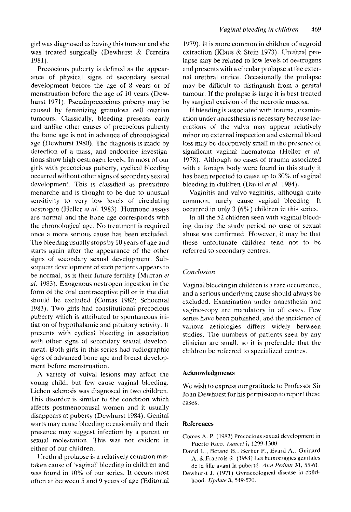girl was diagnosed as having this tumour and she was treated surgically (Dewhurst & Ferreira 1981).

Prccocious puberty is defined as the appearance of physical signs of secondary sexual development before the age *of 8* years or of menstruation before the age of 10 years (Dcwhurst 1971). Pseudoprecocious puberty may be caused by feminizing granulosa cell ovarian tumours. Classically, bleeding presents early and unlike other causes of precocious puberty the bone age is not in advance **of** chronological age (Dewhurst 1980). The diagnosis is madc by detection of a mass, and endocrine investigations show high oestrogen levels. Tn most of our girls with precocious puberty, cyclical bleeding occurred without other signs **of** secondary sexual development. This is classified as premature menarche and is thought to be due to unusual sensitivity to very low levels of circulating oestrogen (Hellcr *ef ul.* 1983). Hormone assays are normal and the bone age corresponds with the chronological age. No treatment is required once a more serious cause has been excluded. The bleeding usually stops by 10 years of age and starts again after the appearance of the other signs of secondary sexual development. Subsequent development of such patients appears to be normal. as is their future fertility (Murran *el ul.* 1983). Exogenous oestrogen ingestion in the form **of** the oral contraceptive pill or in the diet should be excluded (Comas 1982; Schoental 1983). Two girls had constitutional precocious puberty which is attributed to spontaneous initiation of hypothalamic and pituitary activity. It presents with cyclical bleeding in association with other signs of secondary sexual devclopment. Both girls in this series had radiographic signs of advanced bone age and breast development before menstruation.

**A** variety of vulva1 lesions may affect the young child, but few cause vaginal bleeding. Lichen sclerosis was diagnosed in two children. This disorder is similar to the condition which affects postmenopausal women and it usually disappears at puberty (Dewhurst 1984). Genital warts may cause bleeding occasionally and their presence may suggest infection by a parent or sexual molestation. This was not evident in either of our children.

Urethral prolapse is a relatively common mistaken cause of 'vaginal' bleeding in children and **was** found in 10% of our series. Lt occurs most often at between 5 and 9 years of age (Editorial 1Y79). It is more common in children of negroid extraction (Klaus & Stein 1973). Urethral prolapse may be related to low levels of oestrogens and presents with a circular prolapse at the external urethral orifice. Occasionally the prolapsc may be difficult to distinguish from a genital tumour. If the prolapse is large it is bcst treated by surgical excision of the necrotic mucosa.

If bleeding is associated with trauma, examination under anaesthesia is necessary because lacerations of the vulva may appear relatively minor on external inspection and external blood loss may be deceptively small in the presence of significant vaginal haematoma (Heller et al. 1978). Although no cases of trauma associated with a foreign body were found in this study it has been reported to cause up to **30%** of vaginal blccding in children (David et *al.* 1984).

Vaginitis and vulvo-vaginitis, although quite common, rarely cause vaginal bleeding. It occurred in only 3 (6%) children in this series.

In all the 52 children seen with vaginal bleeding during the study period no case of sexual abuse was confirmed. However, it may be that these unfortunate children tend not to be referred to secondary centres.

# *Conclusion*

Vaginal bleeding in children is a rare occurrence. and a serious underlying cause should always be excluded. Examination under anaesthesia and vaginoscopy are mandatory in all cases. Few series have been published, and the incidencc of various aetiologies differs widely between studies. The numbers of patients seen by any clinician are small, so it is preferable that the children be referred to specialized centres.

#### **Acknowledgments**

We wish to express our gratitude to Professor Sir John Dewhurst for his pcrmission to report these cases.

## **References**

- Comas **A. P.** (1982) Prccocious sexual development in Pucrto Rico. *Lancet* **i**, 1299-1300.
- David L., Betand **B..** Rcrlicr P., Evard **A.,** Guinard A. & Francois R. (1984) Les hemorragies genitales dc la fille avant la puher-te. *Am t'ediutr* **31,** 55-61,
- Dewhurst J. (1971) Gynaccological disease in childhood. *Update* **3,** 549-570.